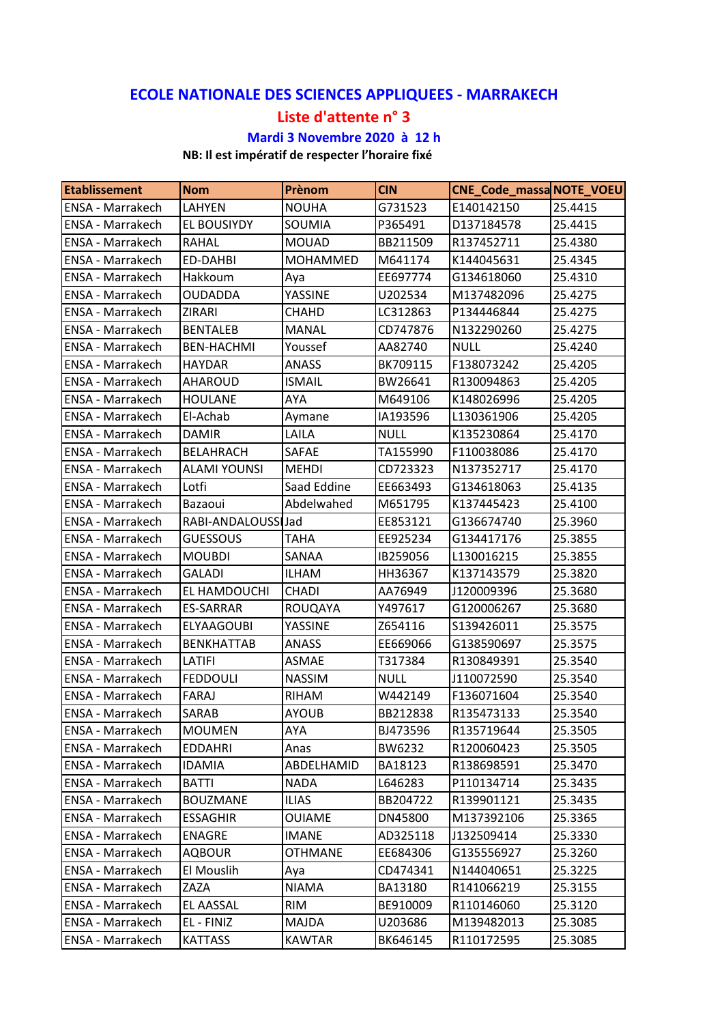## **ECOLE NATIONALE DES SCIENCES APPLIQUEES ‐ MARRAKECH**

## **Liste d'attente n° 3**

## **Mardi 3 Novembre 2020 à 12 h**

## **NB: Il est impératif de respecter l'horaire fixé**

| <b>Etablissement</b>    | <b>Nom</b>          | Prènom          | <b>CIN</b>  | CNE_Code_massaNOTE_VOEU |         |
|-------------------------|---------------------|-----------------|-------------|-------------------------|---------|
| <b>ENSA - Marrakech</b> | <b>LAHYEN</b>       | <b>NOUHA</b>    | G731523     | E140142150              | 25.4415 |
| ENSA - Marrakech        | EL BOUSIYDY         | SOUMIA          | P365491     | D137184578              | 25.4415 |
| ENSA - Marrakech        | <b>RAHAL</b>        | <b>MOUAD</b>    | BB211509    | R137452711              | 25.4380 |
| <b>ENSA - Marrakech</b> | ED-DAHBI            | <b>MOHAMMED</b> | M641174     | K144045631              | 25.4345 |
| ENSA - Marrakech        | Hakkoum             | Aya             | EE697774    | G134618060              | 25.4310 |
| ENSA - Marrakech        | <b>OUDADDA</b>      | YASSINE         | U202534     | M137482096              | 25.4275 |
| ENSA - Marrakech        | ZIRARI              | CHAHD           | LC312863    | P134446844              | 25.4275 |
| ENSA - Marrakech        | <b>BENTALEB</b>     | <b>MANAL</b>    | CD747876    | N132290260              | 25.4275 |
| ENSA - Marrakech        | <b>BEN-HACHMI</b>   | Youssef         | AA82740     | <b>NULL</b>             | 25.4240 |
| ENSA - Marrakech        | <b>HAYDAR</b>       | <b>ANASS</b>    | BK709115    | F138073242              | 25.4205 |
| ENSA - Marrakech        | <b>AHAROUD</b>      | <b>ISMAIL</b>   | BW26641     | R130094863              | 25.4205 |
| ENSA - Marrakech        | <b>HOULANE</b>      | AYA             | M649106     | K148026996              | 25.4205 |
| <b>ENSA - Marrakech</b> | El-Achab            | Aymane          | IA193596    | L130361906              | 25.4205 |
| <b>ENSA - Marrakech</b> | <b>DAMIR</b>        | LAILA           | <b>NULL</b> | K135230864              | 25.4170 |
| ENSA - Marrakech        | <b>BELAHRACH</b>    | <b>SAFAE</b>    | TA155990    | F110038086              | 25.4170 |
| ENSA - Marrakech        | <b>ALAMI YOUNSI</b> | <b>MEHDI</b>    | CD723323    | N137352717              | 25.4170 |
| ENSA - Marrakech        | Lotfi               | Saad Eddine     | EE663493    | G134618063              | 25.4135 |
| ENSA - Marrakech        | Bazaoui             | Abdelwahed      | M651795     | K137445423              | 25.4100 |
| <b>ENSA - Marrakech</b> | RABI-ANDALOUSSI Jad |                 | EE853121    | G136674740              | 25.3960 |
| ENSA - Marrakech        | <b>GUESSOUS</b>     | TAHA            | EE925234    | G134417176              | 25.3855 |
| ENSA - Marrakech        | <b>MOUBDI</b>       | SANAA           | IB259056    | L130016215              | 25.3855 |
| <b>ENSA - Marrakech</b> | <b>GALADI</b>       | <b>ILHAM</b>    | HH36367     | K137143579              | 25.3820 |
| ENSA - Marrakech        | EL HAMDOUCHI        | <b>CHADI</b>    | AA76949     | J120009396              | 25.3680 |
| <b>ENSA - Marrakech</b> | <b>ES-SARRAR</b>    | ROUQAYA         | Y497617     | G120006267              | 25.3680 |
| ENSA - Marrakech        | <b>ELYAAGOUBI</b>   | YASSINE         | Z654116     | S139426011              | 25.3575 |
| ENSA - Marrakech        | <b>BENKHATTAB</b>   | <b>ANASS</b>    | EE669066    | G138590697              | 25.3575 |
| ENSA - Marrakech        | <b>LATIFI</b>       | ASMAE           | T317384     | R130849391              | 25.3540 |
| ENSA - Marrakech        | <b>FEDDOULI</b>     | <b>NASSIM</b>   | <b>NULL</b> | J110072590              | 25.3540 |
| <b>ENSA - Marrakech</b> | <b>FARAJ</b>        | RIHAM           | W442149     | F136071604              | 25.3540 |
| <b>ENSA - Marrakech</b> | SARAB               | <b>AYOUB</b>    | BB212838    | R135473133              | 25.3540 |
| ENSA - Marrakech        | <b>MOUMEN</b>       | <b>AYA</b>      | BJ473596    | R135719644              | 25.3505 |
| <b>ENSA - Marrakech</b> | <b>EDDAHRI</b>      | Anas            | BW6232      | R120060423              | 25.3505 |
| <b>ENSA - Marrakech</b> | <b>IDAMIA</b>       | ABDELHAMID      | BA18123     | R138698591              | 25.3470 |
| ENSA - Marrakech        | <b>BATTI</b>        | <b>NADA</b>     | L646283     | P110134714              | 25.3435 |
| ENSA - Marrakech        | <b>BOUZMANE</b>     | <b>ILIAS</b>    | BB204722    | R139901121              | 25.3435 |
| ENSA - Marrakech        | <b>ESSAGHIR</b>     | <b>OUIAME</b>   | DN45800     | M137392106              | 25.3365 |
| ENSA - Marrakech        | <b>ENAGRE</b>       | <b>IMANE</b>    | AD325118    | J132509414              | 25.3330 |
| ENSA - Marrakech        | <b>AQBOUR</b>       | <b>OTHMANE</b>  | EE684306    | G135556927              | 25.3260 |
| ENSA - Marrakech        | El Mouslih          | Aya             | CD474341    | N144040651              | 25.3225 |
| ENSA - Marrakech        | ZAZA                | <b>NIAMA</b>    | BA13180     | R141066219              | 25.3155 |
| ENSA - Marrakech        | EL AASSAL           | <b>RIM</b>      | BE910009    | R110146060              | 25.3120 |
| ENSA - Marrakech        | EL - FINIZ          | <b>MAJDA</b>    | U203686     | M139482013              | 25.3085 |
| ENSA - Marrakech        | <b>KATTASS</b>      | <b>KAWTAR</b>   | BK646145    | R110172595              | 25.3085 |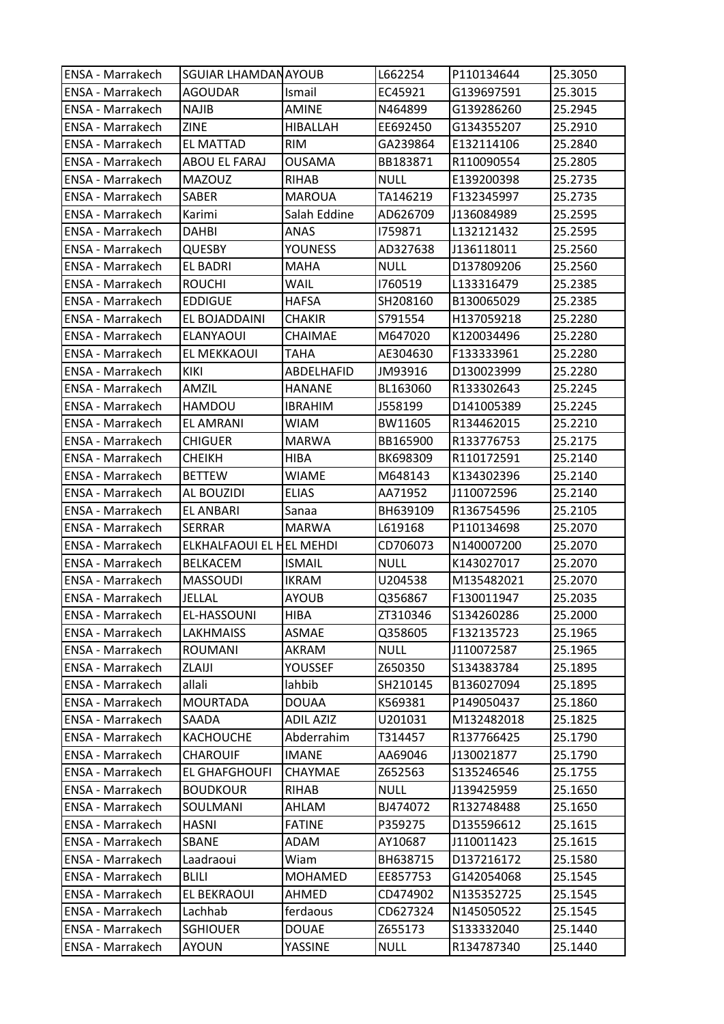| <b>ENSA - Marrakech</b> | <b>SGUIAR LHAMDANAYOUB</b> |                  | L662254     | P110134644 | 25.3050 |
|-------------------------|----------------------------|------------------|-------------|------------|---------|
| ENSA - Marrakech        | <b>AGOUDAR</b>             | Ismail           | EC45921     | G139697591 | 25.3015 |
| ENSA - Marrakech        | <b>NAJIB</b>               | AMINE            | N464899     | G139286260 | 25.2945 |
| ENSA - Marrakech        | <b>ZINE</b>                | <b>HIBALLAH</b>  | EE692450    | G134355207 | 25.2910 |
| ENSA - Marrakech        | <b>EL MATTAD</b>           | <b>RIM</b>       | GA239864    | E132114106 | 25.2840 |
| ENSA - Marrakech        | ABOU EL FARAJ              | OUSAMA           | BB183871    | R110090554 | 25.2805 |
| ENSA - Marrakech        | <b>MAZOUZ</b>              | RIHAB            | <b>NULL</b> | E139200398 | 25.2735 |
| ENSA - Marrakech        | SABER                      | <b>MAROUA</b>    | TA146219    | F132345997 | 25.2735 |
| ENSA - Marrakech        | Karimi                     | Salah Eddine     | AD626709    | J136084989 | 25.2595 |
| ENSA - Marrakech        | <b>DAHBI</b>               | ANAS             | 1759871     | L132121432 | 25.2595 |
| ENSA - Marrakech        | <b>QUESBY</b>              | <b>YOUNESS</b>   | AD327638    | J136118011 | 25.2560 |
| ENSA - Marrakech        | <b>EL BADRI</b>            | <b>MAHA</b>      | <b>NULL</b> | D137809206 | 25.2560 |
| ENSA - Marrakech        | <b>ROUCHI</b>              | WAIL             | 1760519     | L133316479 | 25.2385 |
| ENSA - Marrakech        | <b>EDDIGUE</b>             | HAFSA            | SH208160    | B130065029 | 25.2385 |
| ENSA - Marrakech        | EL BOJADDAINI              | <b>CHAKIR</b>    | S791554     | H137059218 | 25.2280 |
| ENSA - Marrakech        | <b>ELANYAOUI</b>           | CHAIMAE          | M647020     | K120034496 | 25.2280 |
| ENSA - Marrakech        | EL MEKKAOUI                | TAHA             | AE304630    | F133333961 | 25.2280 |
| <b>ENSA - Marrakech</b> | <b>KIKI</b>                | ABDELHAFID       | JM93916     | D130023999 | 25.2280 |
| ENSA - Marrakech        | AMZIL                      | HANANE           | BL163060    | R133302643 | 25.2245 |
| ENSA - Marrakech        | <b>HAMDOU</b>              | <b>IBRAHIM</b>   | J558199     | D141005389 | 25.2245 |
| ENSA - Marrakech        | EL AMRANI                  | <b>WIAM</b>      | BW11605     | R134462015 | 25.2210 |
| ENSA - Marrakech        | <b>CHIGUER</b>             | <b>MARWA</b>     | BB165900    | R133776753 | 25.2175 |
| ENSA - Marrakech        | <b>CHEIKH</b>              | <b>HIBA</b>      | BK698309    | R110172591 | 25.2140 |
| ENSA - Marrakech        | <b>BETTEW</b>              | WIAME            | M648143     | K134302396 | 25.2140 |
| ENSA - Marrakech        | AL BOUZIDI                 | <b>ELIAS</b>     | AA71952     | J110072596 | 25.2140 |
| ENSA - Marrakech        | <b>EL ANBARI</b>           | Sanaa            | BH639109    | R136754596 | 25.2105 |
| ENSA - Marrakech        | <b>SERRAR</b>              | <b>MARWA</b>     | L619168     | P110134698 | 25.2070 |
| ENSA - Marrakech        | ELKHALFAOUI EL HEL MEHDI   |                  | CD706073    | N140007200 | 25.2070 |
| ENSA - Marrakech        | <b>BELKACEM</b>            | <b>ISMAIL</b>    | <b>NULL</b> | K143027017 | 25.2070 |
| <b>ENSA - Marrakech</b> | <b>MASSOUDI</b>            | <b>IKRAM</b>     | U204538     | M135482021 | 25.2070 |
| ENSA - Marrakech        | <b>JELLAL</b>              | <b>AYOUB</b>     | Q356867     | F130011947 | 25.2035 |
| <b>ENSA - Marrakech</b> | <b>EL-HASSOUNI</b>         | <b>HIBA</b>      | ZT310346    | S134260286 | 25.2000 |
| <b>ENSA - Marrakech</b> | <b>LAKHMAISS</b>           | ASMAE            | Q358605     | F132135723 | 25.1965 |
| ENSA - Marrakech        | ROUMANI                    | AKRAM            | <b>NULL</b> | J110072587 | 25.1965 |
| ENSA - Marrakech        | ZLAIJI                     | YOUSSEF          | Z650350     | S134383784 | 25.1895 |
| ENSA - Marrakech        | allali                     | lahbib           | SH210145    | B136027094 | 25.1895 |
| ENSA - Marrakech        | <b>MOURTADA</b>            | <b>DOUAA</b>     | K569381     | P149050437 | 25.1860 |
| ENSA - Marrakech        | <b>SAADA</b>               | <b>ADIL AZIZ</b> | U201031     | M132482018 | 25.1825 |
| <b>ENSA - Marrakech</b> | <b>KACHOUCHE</b>           | Abderrahim       | T314457     | R137766425 | 25.1790 |
| <b>ENSA - Marrakech</b> | <b>CHAROUIF</b>            | <b>IMANE</b>     | AA69046     | J130021877 | 25.1790 |
| ENSA - Marrakech        | <b>EL GHAFGHOUFI</b>       | CHAYMAE          | Z652563     | S135246546 | 25.1755 |
| ENSA - Marrakech        | <b>BOUDKOUR</b>            | <b>RIHAB</b>     | <b>NULL</b> | J139425959 | 25.1650 |
| ENSA - Marrakech        | SOULMANI                   | AHLAM            | BJ474072    | R132748488 | 25.1650 |
| ENSA - Marrakech        | <b>HASNI</b>               | <b>FATINE</b>    | P359275     | D135596612 | 25.1615 |
| ENSA - Marrakech        | <b>SBANE</b>               | ADAM             | AY10687     | J110011423 | 25.1615 |
| ENSA - Marrakech        | Laadraoui                  | Wiam             | BH638715    | D137216172 | 25.1580 |
| ENSA - Marrakech        | <b>BLILI</b>               | <b>MOHAMED</b>   | EE857753    | G142054068 | 25.1545 |
| ENSA - Marrakech        | EL BEKRAOUI                | <b>AHMED</b>     | CD474902    | N135352725 | 25.1545 |
| ENSA - Marrakech        | Lachhab                    | ferdaous         | CD627324    | N145050522 | 25.1545 |
| ENSA - Marrakech        | <b>SGHIOUER</b>            | <b>DOUAE</b>     | Z655173     | S133332040 | 25.1440 |
| ENSA - Marrakech        | <b>AYOUN</b>               | YASSINE          | <b>NULL</b> | R134787340 | 25.1440 |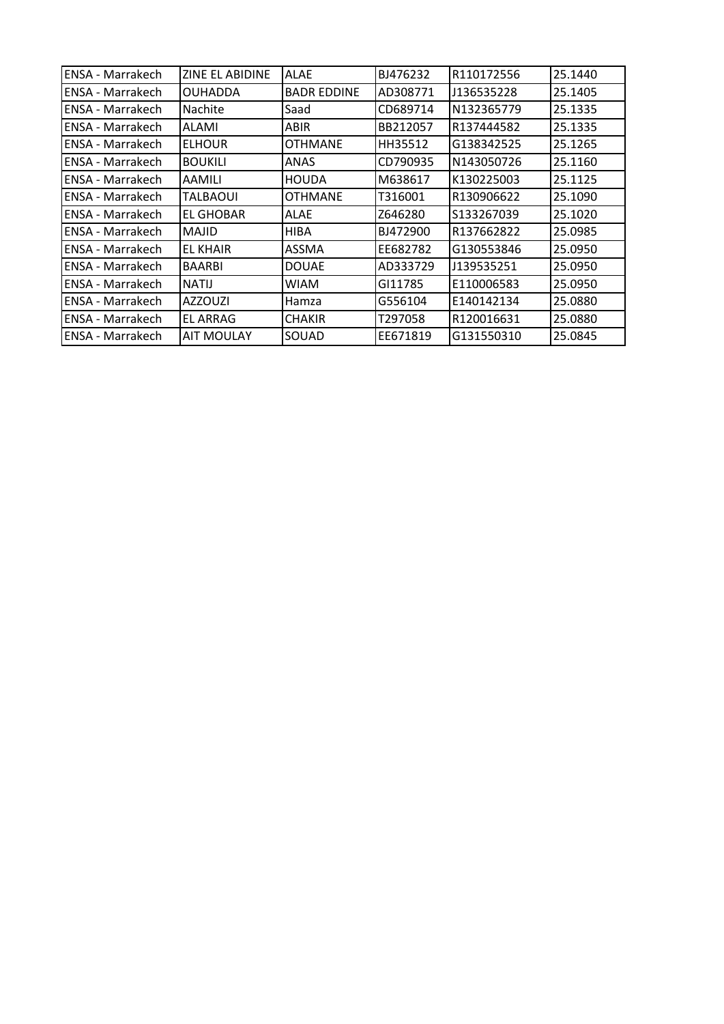| ENSA - Marrakech        | <b>ZINE EL ABIDINE</b> | <b>ALAE</b>        | BJ476232 | R110172556 | 25.1440 |
|-------------------------|------------------------|--------------------|----------|------------|---------|
| ENSA - Marrakech        | <b>OUHADDA</b>         | <b>BADR EDDINE</b> | AD308771 | J136535228 | 25.1405 |
| ENSA - Marrakech        | <b>Nachite</b>         | Saad               | CD689714 | N132365779 | 25.1335 |
| ENSA - Marrakech        | ALAMI                  | ABIR               | BB212057 | R137444582 | 25.1335 |
| ENSA - Marrakech        | <b>ELHOUR</b>          | <b>OTHMANE</b>     | HH35512  | G138342525 | 25.1265 |
| ENSA - Marrakech        | <b>BOUKILI</b>         | ANAS               | CD790935 | N143050726 | 25.1160 |
| ENSA - Marrakech        | AAMILI                 | <b>HOUDA</b>       | M638617  | K130225003 | 25.1125 |
| ENSA - Marrakech        | TALBAOUI               | <b>OTHMANE</b>     | T316001  | R130906622 | 25.1090 |
| ENSA - Marrakech        | <b>EL GHOBAR</b>       | ALAE               | Z646280  | S133267039 | 25.1020 |
| ENSA - Marrakech        | <b>MAJID</b>           | <b>HIBA</b>        | BJ472900 | R137662822 | 25.0985 |
| ENSA - Marrakech        | EL KHAIR               | ASSMA              | EE682782 | G130553846 | 25.0950 |
| <b>ENSA - Marrakech</b> | <b>BAARBI</b>          | <b>DOUAE</b>       | AD333729 | J139535251 | 25.0950 |
| ENSA - Marrakech        | <b>NATIJ</b>           | WIAM               | GI11785  | E110006583 | 25.0950 |
| ENSA - Marrakech        | <b>AZZOUZI</b>         | Hamza              | G556104  | E140142134 | 25.0880 |
| ENSA - Marrakech        | EL ARRAG               | <b>CHAKIR</b>      | T297058  | R120016631 | 25.0880 |
| ENSA - Marrakech        | <b>AIT MOULAY</b>      | SOUAD              | EE671819 | G131550310 | 25.0845 |